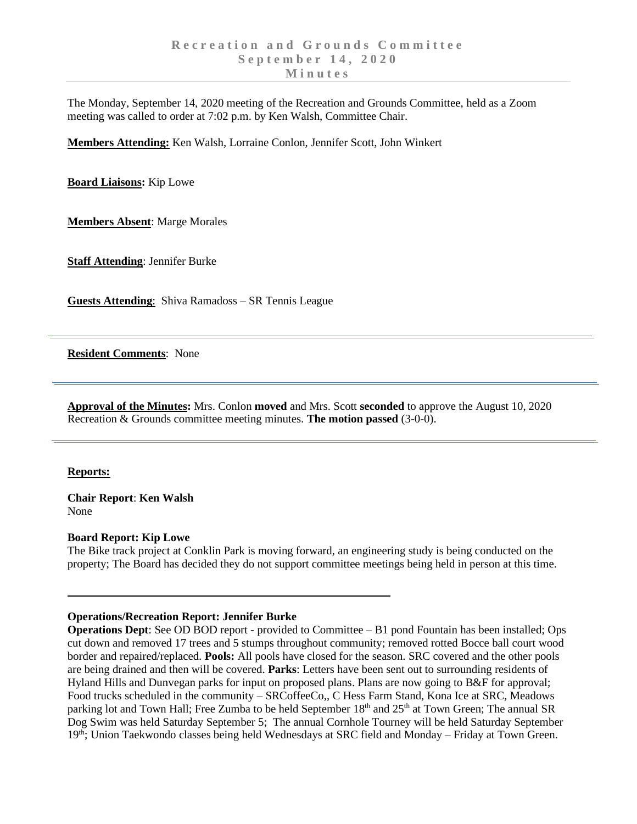The Monday, September 14, 2020 meeting of the Recreation and Grounds Committee, held as a Zoom meeting was called to order at 7:02 p.m. by Ken Walsh, Committee Chair.

**Members Attending:** Ken Walsh, Lorraine Conlon, Jennifer Scott, John Winkert

**Board Liaisons:** Kip Lowe

**Members Absent**: Marge Morales

**Staff Attending**: Jennifer Burke

**Guests Attending**: Shiva Ramadoss – SR Tennis League

**Resident Comments**: None

**Approval of the Minutes:** Mrs. Conlon **moved** and Mrs. Scott **seconded** to approve the August 10, 2020 Recreation & Grounds committee meeting minutes. **The motion passed** (3-0-0).

### **Reports:**

**Chair Report**: **Ken Walsh** None

### **Board Report: Kip Lowe**

The Bike track project at Conklin Park is moving forward, an engineering study is being conducted on the property; The Board has decided they do not support committee meetings being held in person at this time.

### **Operations/Recreation Report: Jennifer Burke**

**Operations Dept**: See OD BOD report - provided to Committee – B1 pond Fountain has been installed; Ops cut down and removed 17 trees and 5 stumps throughout community; removed rotted Bocce ball court wood border and repaired/replaced. **Pools:** All pools have closed for the season. SRC covered and the other pools are being drained and then will be covered. **Parks**: Letters have been sent out to surrounding residents of Hyland Hills and Dunvegan parks for input on proposed plans. Plans are now going to B&F for approval; Food trucks scheduled in the community – SRCoffeeCo,, C Hess Farm Stand, Kona Ice at SRC, Meadows parking lot and Town Hall; Free Zumba to be held September 18<sup>th</sup> and 25<sup>th</sup> at Town Green; The annual SR Dog Swim was held Saturday September 5; The annual Cornhole Tourney will be held Saturday September 19<sup>th</sup>; Union Taekwondo classes being held Wednesdays at SRC field and Monday – Friday at Town Green.